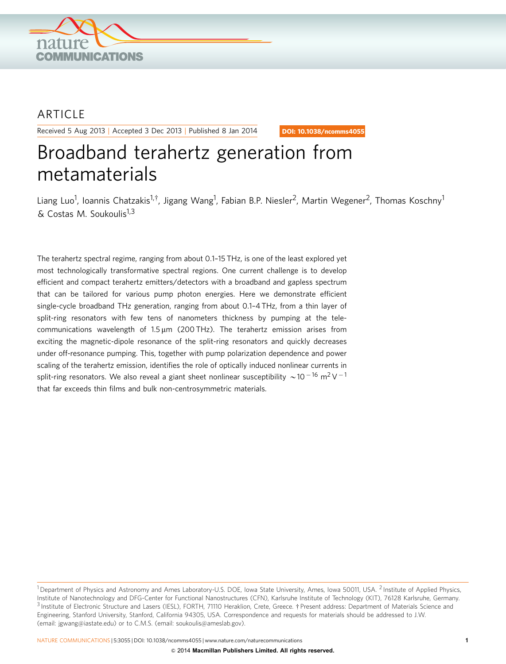

## ARTICLE

Received 5 Aug 2013 | Accepted 3 Dec 2013 | Published 8 Jan 2014

DOI: 10.1038/ncomms4055

# Broadband terahertz generation from metamaterials

Liang Luo<sup>1</sup>, Ioannis Chatzakis<sup>1,†</sup>, Jigang Wang<sup>1</sup>, Fabian B.P. Niesler<sup>2</sup>, Martin Wegener<sup>2</sup>, Thomas Koschny<sup>1</sup>  $& Costas M. Soukoulis<sup>1,3</sup>$ 

The terahertz spectral regime, ranging from about 0.1–15 THz, is one of the least explored yet most technologically transformative spectral regions. One current challenge is to develop efficient and compact terahertz emitters/detectors with a broadband and gapless spectrum that can be tailored for various pump photon energies. Here we demonstrate efficient single-cycle broadband THz generation, ranging from about 0.1–4 THz, from a thin layer of split-ring resonators with few tens of nanometers thickness by pumping at the telecommunications wavelength of  $1.5 \,\mu m$  (200 THz). The terahertz emission arises from exciting the magnetic-dipole resonance of the split-ring resonators and quickly decreases under off-resonance pumping. This, together with pump polarization dependence and power scaling of the terahertz emission, identifies the role of optically induced nonlinear currents in split-ring resonators. We also reveal a giant sheet nonlinear susceptibility  $\sim$ 10  $^{-16}$  m<sup>2</sup> V  $^{-1}$ that far exceeds thin films and bulk non-centrosymmetric materials.

<sup>&</sup>lt;sup>1</sup> Department of Physics and Astronomy and Ames Laboratory-U.S. DOE, Iowa State University, Ames, Iowa 50011, USA. <sup>2</sup> Institute of Applied Physics, Institute of Nanotechnology and DFG-Center for Functional Nanostructures (CFN), Karlsruhe Institute of Technology (KIT), 76128 Karlsruhe, Germany. <sup>3</sup> Institute of Electronic Structure and Lasers (IESL), FORTH, 71110 Heraklion, Crete, Greece. † Present address: Department of Materials Science and Engineering, Stanford University, Stanford, California 94305, USA. Correspondence and requests for materials should be addressed to J.W. (email: [jgwang@iastate.edu](mailto:jgwang@iastate.edu)) or to C.M.S. (email: [soukoulis@ameslab.gov](mailto:soukoulis@ameslab.gov)).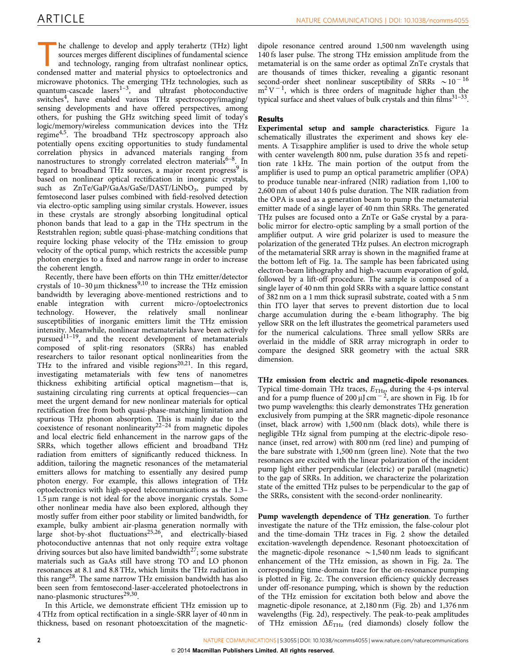he challenge to develop and apply terahertz (THz) light sources merges different disciplines of fundamental science and technology, ranging from ultrafast nonlinear optics, condensed matter and material physics to optoelectronics and microwave photonics. The emerging THz technologies, such as quantum-cascade lasers<sup>1-3</sup>, and ultrafast photoconductive switches<sup>4</sup>, have enabled various THz spectroscopy/imaging/ sensing developments and have offered perspectives, among others, for pushing the GHz switching speed limit of today's logic/memory/wireless communication devices into the THz regime<sup>4,5</sup>. The broadband THz spectroscopy approach also potentially opens exciting opportunities to study fundamental correlation physics in advanced materials ranging from nanostructures to strongly correlated electron materials<sup>6-8</sup>. In regard to broadband THz sources, a major recent progress<sup>[9](#page-5-0)</sup> is based on nonlinear optical rectification in inorganic crystals, such as  $ZnTe/GaP/GaAs/GaSe/DAST/LiNbO<sub>3</sub>$ , pumped by femtosecond laser pulses combined with field-resolved detection via electro-optic sampling using similar crystals. However, issues in these crystals are strongly absorbing longitudinal optical phonon bands that lead to a gap in the THz spectrum in the Reststrahlen region; subtle quasi-phase-matching conditions that require locking phase velocity of the THz emission to group velocity of the optical pump, which restricts the accessible pump photon energies to a fixed and narrow range in order to increase the coherent length.

Recently, there have been efforts on thin THz emitter/detector crystals of  $10-30 \mu m$  thickness<sup>[9,10](#page-5-0)</sup> to increase the THz emission bandwidth by leveraging above-mentioned restrictions and to enable integration with current micro-/optoelectronics<br>technology. However, the relatively small nonlinear However, the relatively small nonlinear susceptibilities of inorganic emitters limit the THz emission intensity. Meanwhile, nonlinear metamaterials have been actively pursued $11-19$ , and the recent development of metamaterials composed of split-ring resonators (SRRs) has enabled researchers to tailor resonant optical nonlinearities from the THz to the infrared and visible regions<sup>20,21</sup>. In this regard, investigating metamaterials with few tens of nanometres thickness exhibiting artificial optical magnetism—that is, sustaining circulating ring currents at optical frequencies—can meet the urgent demand for new nonlinear materials for optical rectification free from both quasi-phase-matching limitation and spurious THz phonon absorption. This is mainly due to the coexistence of resonant nonlinearity<sup>22-24</sup> from magnetic dipoles and local electric field enhancement in the narrow gaps of the SRRs, which together allows efficient and broadband THz radiation from emitters of significantly reduced thickness. In addition, tailoring the magnetic resonances of the metamaterial emitters allows for matching to essentially any desired pump photon energy. For example, this allows integration of THz optoelectronics with high-speed telecommunications as the 1.3–  $1.5 \mu m$  range is not ideal for the above inorganic crystals. Some other nonlinear media have also been explored, although they mostly suffer from either poor stability or limited bandwidth, for example, bulky ambient air-plasma generation normally with large shot-by-shot fluctuations<sup>25,26</sup>, and electrically-biased photoconductive antennas that not only require extra voltage driving sources but also have limited bandwidth<sup>[27](#page-5-0)</sup>; some substrate materials such as GaAs still have strong TO and LO phonon resonances at 8.1 and 8.8 THz, which limits the THz radiation in this range<sup>[28](#page-5-0)</sup>. The same narrow THz emission bandwidth has also been seen from femtosecond-laser-accelerated photoelectrons in nano-plasmonic structures<sup>[29,30](#page-5-0)</sup>.

In this Article, we demonstrate efficient THz emission up to 4 THz from optical rectification in a single-SRR layer of 40 nm in thickness, based on resonant photoexcitation of the magneticdipole resonance centred around 1,500 nm wavelength using 140 fs laser pulse. The strong THz emission amplitude from the metamaterial is on the same order as optimal ZnTe crystals that are thousands of times thicker, revealing a gigantic resonant second-order sheet nonlinear susceptibility of SRRs  $\sim 10^{-16}$  $m^2V^{-1}$ , which is three orders of magnitude higher than the typical surface and sheet values of bulk crystals and thin films $31-33$ .

### Results

Experimental setup and sample characteristics. [Figure 1a](#page-2-0) schematically illustrates the experiment and shows key elements. A Ti:sapphire amplifier is used to drive the whole setup with center wavelength 800 nm, pulse duration 35 fs and repetition rate 1 kHz. The main portion of the output from the amplifier is used to pump an optical parametric amplifier (OPA) to produce tunable near-infrared (NIR) radiation from 1,100 to 2,600 nm of about 140 fs pulse duration. The NIR radiation from the OPA is used as a generation beam to pump the metamaterial emitter made of a single layer of 40 nm thin SRRs. The generated THz pulses are focused onto a ZnTe or GaSe crystal by a parabolic mirror for electro-optic sampling by a small portion of the amplifier output. A wire grid polarizer is used to measure the polarization of the generated THz pulses. An electron micrograph of the metamaterial SRR array is shown in the magnified frame at the bottom left of [Fig. 1a.](#page-2-0) The sample has been fabricated using electron-beam lithography and high-vacuum evaporation of gold, followed by a lift-off procedure. The sample is composed of a single layer of 40 nm thin gold SRRs with a square lattice constant of 382 nm on a 1 mm thick suprasil substrate, coated with a 5 nm thin ITO layer that serves to prevent distortion due to local charge accumulation during the e-beam lithography. The big yellow SRR on the left illustrates the geometrical parameters used for the numerical calculations. Three small yellow SRRs are overlaid in the middle of SRR array micrograph in order to compare the designed SRR geometry with the actual SRR dimension.

THz emission from electric and magnetic-dipole resonances. Typical time-domain THz traces,  $E_{\text{THz}}$  during the 4-ps interval and for a pump fluence of 200  $\mu$ J cm<sup>-2</sup>, are shown in [Fig. 1b](#page-2-0) for two pump wavelengths: this clearly demonstrates THz generation exclusively from pumping at the SRR magnetic-dipole resonance (inset, black arrow) with 1,500 nm (black dots), while there is negligible THz signal from pumping at the electric-dipole resonance (inset, red arrow) with 800 nm (red line) and pumping of the bare substrate with 1,500 nm (green line). Note that the two resonances are excited with the linear polarization of the incident pump light either perpendicular (electric) or parallel (magnetic) to the gap of SRRs. In addition, we characterize the polarization state of the emitted THz pulses to be perpendicular to the gap of the SRRs, consistent with the second-order nonlinearity.

Pump wavelength dependence of THz generation. To further investigate the nature of the THz emission, the false-colour plot and the time-domain THz traces in [Fig. 2](#page-3-0) show the detailed excitation-wavelength dependence. Resonant photoexcitation of the magnetic-dipole resonance  $\sim$  1,540 nm leads to significant enhancement of the THz emission, as shown in [Fig. 2a](#page-3-0). The corresponding time-domain trace for the on-resonance pumping is plotted in [Fig. 2c](#page-3-0). The conversion efficiency quickly decreases under off-resonance pumping, which is shown by the reduction of the THz emission for excitation both below and above the magnetic-dipole resonance, at 2,180 nm [\(Fig. 2b\)](#page-3-0) and 1,376 nm wavelengths ([Fig. 2d](#page-3-0)), respectively. The peak-to-peak amplitudes of THz emission  $\Delta E_{\text{THz}}$  (red diamonds) closely follow the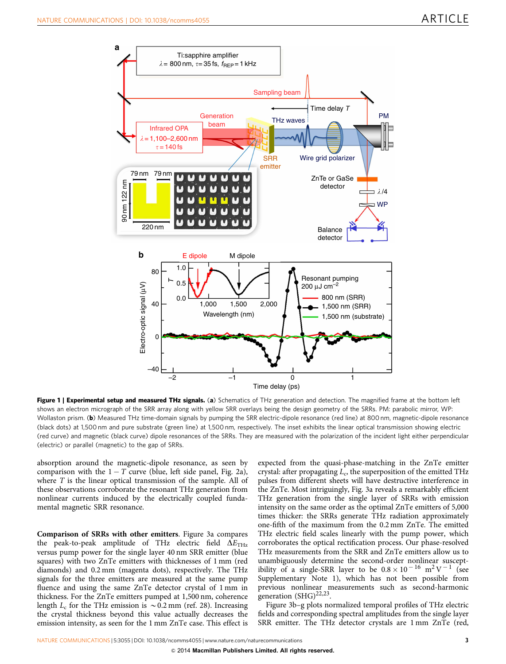<span id="page-2-0"></span>

Figure 1 | Experimental setup and measured THz signals. (a) Schematics of THz generation and detection. The magnified frame at the bottom left shows an electron micrograph of the SRR array along with yellow SRR overlays being the design geometry of the SRRs. PM: parabolic mirror, WP: Wollaston prism. (b) Measured THz time-domain signals by pumping the SRR electric-dipole resonance (red line) at 800 nm, magnetic-dipole resonance (black dots) at 1,500 nm and pure substrate (green line) at 1,500 nm, respectively. The inset exhibits the linear optical transmission showing electric (red curve) and magnetic (black curve) dipole resonances of the SRRs. They are measured with the polarization of the incident light either perpendicular (electric) or parallel (magnetic) to the gap of SRRs.

absorption around the magnetic-dipole resonance, as seen by comparison with the  $1 - T$  curve (blue, left side panel, [Fig. 2a](#page-3-0)), where  $T$  is the linear optical transmission of the sample. All of these observations corroborate the resonant THz generation from nonlinear currents induced by the electrically coupled fundamental magnetic SRR resonance.

Comparison of SRRs with other emitters. [Figure 3a](#page-3-0) compares the peak-to-peak amplitude of THz electric field  $\overline{\Delta}E_{\text{THz}}$ versus pump power for the single layer 40 nm SRR emitter (blue squares) with two ZnTe emitters with thicknesses of 1 mm (red diamonds) and 0.2 mm (magenta dots), respectively. The THz signals for the three emitters are measured at the same pump fluence and using the same ZnTe detector crystal of 1 mm in thickness. For the ZnTe emitters pumped at 1,500 nm, coherence length  $L_c$  for the THz emission is  $\sim 0.2$  mm ([ref. 28](#page-5-0)). Increasing the crystal thickness beyond this value actually decreases the emission intensity, as seen for the 1 mm ZnTe case. This effect is

expected from the quasi-phase-matching in the ZnTe emitter crystal: after propagating  $L_c$ , the superposition of the emitted THz pulses from different sheets will have destructive interference in the ZnTe. Most intriguingly, [Fig. 3a](#page-3-0) reveals a remarkably efficient THz generation from the single layer of SRRs with emission intensity on the same order as the optimal ZnTe emitters of 5,000 times thicker: the SRRs generate THz radiation approximately one-fifth of the maximum from the 0.2 mm ZnTe. The emitted THz electric field scales linearly with the pump power, which corroborates the optical rectification process. Our phase-resolved THz measurements from the SRR and ZnTe emitters allow us to unambiguously determine the second-order nonlinear susceptibility of a single-SRR layer to be  $0.8 \times 10^{-16}$  m<sup>2</sup>V<sup>-1</sup> (see Supplementary Note 1), which has not been possible from previous nonlinear measurements such as second-harmonic generation (SHG)<sup>22,23</sup>.

[Figure 3b–g](#page-3-0) plots normalized temporal profiles of THz electric fields and corresponding spectral amplitudes from the single layer SRR emitter. The THz detector crystals are 1 mm ZnTe (red,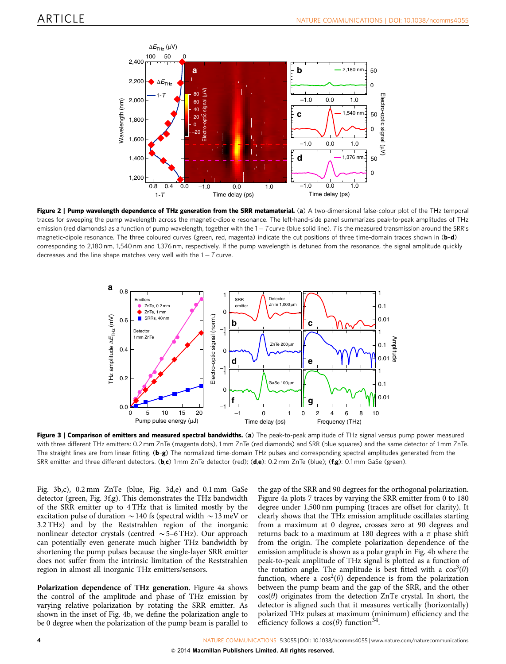<span id="page-3-0"></span>

Figure 2 | Pump wavelength dependence of THz generation from the SRR metamaterial. (a) A two-dimensional false-colour plot of the THz temporal traces for sweeping the pump wavelength across the magnetic-dipole resonance. The left-hand-side panel summarizes peak-to-peak amplitudes of THz emission (red diamonds) as a function of pump wavelength, together with the 1 – Tcurve (blue solid line). T is the measured transmission around the SRR's magnetic-dipole resonance. The three coloured curves (green, red, magenta) indicate the cut positions of three time-domain traces shown in (b-d) corresponding to 2,180 nm, 1,540 nm and 1,376 nm, respectively. If the pump wavelength is detuned from the resonance, the signal amplitude quickly decreases and the line shape matches very well with the 1 - T curve.



Figure 3 | Comparison of emitters and measured spectral bandwidths. (a) The peak-to-peak amplitude of THz signal versus pump power measured with three different THz emitters: 0.2 mm ZnTe (magenta dots), 1 mm ZnTe (red diamonds) and SRR (blue squares) and the same detector of 1 mm ZnTe. The straight lines are from linear fitting. (b–g) The normalized time-domain THz pulses and corresponding spectral amplitudes generated from the SRR emitter and three different detectors. (b,c) 1 mm ZnTe detector (red); (d,e): 0.2 mm ZnTe (blue); (f,g): 0.1 mm GaSe (green).

Fig. 3b,c), 0.2 mm ZnTe (blue, Fig. 3d,e) and 0.1 mm GaSe detector (green, Fig. 3f,g). This demonstrates the THz bandwidth of the SRR emitter up to 4 THz that is limited mostly by the excitation pulse of duration  $\sim$  140 fs (spectral width  $\sim$  13 meV or 3.2 THz) and by the Reststrahlen region of the inorganic nonlinear detector crystals (centred  $\sim$  5–6 THz). Our approach can potentially even generate much higher THz bandwidth by shortening the pump pulses because the single-layer SRR emitter does not suffer from the intrinsic limitation of the Reststrahlen region in almost all inorganic THz emitters/sensors.

Polarization dependence of THz generation. [Figure 4a](#page-4-0) shows the control of the amplitude and phase of THz emission by varying relative polarization by rotating the SRR emitter. As shown in the inset of [Fig. 4b,](#page-4-0) we define the polarization angle to be 0 degree when the polarization of the pump beam is parallel to

the gap of the SRR and 90 degrees for the orthogonal polarization. [Figure 4a](#page-4-0) plots 7 traces by varying the SRR emitter from 0 to 180 degree under 1,500 nm pumping (traces are offset for clarity). It clearly shows that the THz emission amplitude oscillates starting from a maximum at 0 degree, crosses zero at 90 degrees and returns back to a maximum at 180 degrees with a  $\pi$  phase shift from the origin. The complete polarization dependence of the emission amplitude is shown as a polar graph in [Fig. 4b](#page-4-0) where the peak-to-peak amplitude of THz signal is plotted as a function of the rotation angle. The amplitude is best fitted with a  $\cos^3(\theta)$ function, where a  $cos^2(\theta)$  dependence is from the polarization between the pump beam and the gap of the SRR, and the other  $cos(\theta)$  originates from the detection ZnTe crystal. In short, the detector is aligned such that it measures vertically (horizontally) polarized THz pulses at maximum (minimum) efficiency and the efficiency follows a  $cos(\theta)$  function<sup>[34](#page-5-0)</sup>.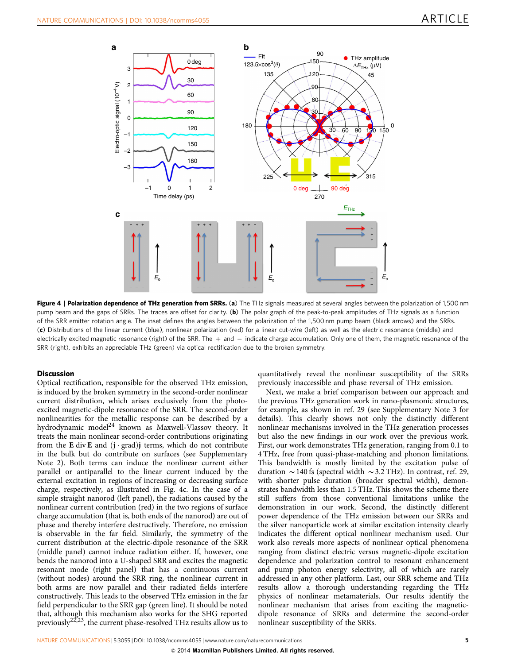<span id="page-4-0"></span>

Figure 4 | Polarization dependence of THz generation from SRRs. (a) The THz signals measured at several angles between the polarization of 1,500 nm pump beam and the gaps of SRRs. The traces are offset for clarity. (b) The polar graph of the peak-to-peak amplitudes of THz signals as a function of the SRR emitter rotation angle. The inset defines the angles between the polarization of the 1,500 nm pump beam (black arrows) and the SRRs. (c) Distributions of the linear current (blue), nonlinear polarization (red) for a linear cut-wire (left) as well as the electric resonance (middle) and electrically excited magnetic resonance (right) of the SRR. The  $+$  and  $-$  indicate charge accumulation. Only one of them, the magnetic resonance of the SRR (right), exhibits an appreciable THz (green) via optical rectification due to the broken symmetry.

#### **Discussion**

Optical rectification, responsible for the observed THz emission, is induced by the broken symmetry in the second-order nonlinear current distribution, which arises exclusively from the photoexcited magnetic-dipole resonance of the SRR. The second-order nonlinearities for the metallic response can be described by a hydrodynamic model<sup>[24](#page-5-0)</sup> known as Maxwell-Vlassov theory. It treats the main nonlinear second-order contributions originating from the E div E and  $(j \cdot grad)j$  terms, which do not contribute in the bulk but do contribute on surfaces (see Supplementary Note 2). Both terms can induce the nonlinear current either parallel or antiparallel to the linear current induced by the external excitation in regions of increasing or decreasing surface charge, respectively, as illustrated in Fig. 4c. In the case of a simple straight nanorod (left panel), the radiations caused by the nonlinear current contribution (red) in the two regions of surface charge accumulation (that is, both ends of the nanorod) are out of phase and thereby interfere destructively. Therefore, no emission is observable in the far field. Similarly, the symmetry of the current distribution at the electric-dipole resonance of the SRR (middle panel) cannot induce radiation either. If, however, one bends the nanorod into a U-shaped SRR and excites the magnetic resonant mode (right panel) that has a continuous current (without nodes) around the SRR ring, the nonlinear current in both arms are now parallel and their radiated fields interfere constructively. This leads to the observed THz emission in the far field perpendicular to the SRR gap (green line). It should be noted that, although this mechanism also works for the SHG reported previously<sup>22,23</sup>, the current phase-resolved THz results allow us to

quantitatively reveal the nonlinear susceptibility of the SRRs previously inaccessible and phase reversal of THz emission.

Next, we make a brief comparison between our approach and the previous THz generation work in nano-plasmonic structures, for example, as shown in [ref. 29](#page-5-0) (see Supplementary Note 3 for details). This clearly shows not only the distinctly different nonlinear mechanisms involved in the THz generation processes but also the new findings in our work over the previous work. First, our work demonstrates THz generation, ranging from 0.1 to 4 THz, free from quasi-phase-matching and phonon limitations. This bandwidth is mostly limited by the excitation pulse of duration  $\sim$  140 fs (spectral width  $\sim$  3.2 THz). In contrast, [ref. 29,](#page-5-0) with shorter pulse duration (broader spectral width), demonstrates bandwidth less than 1.5 THz. This shows the scheme there still suffers from those conventional limitations unlike the demonstration in our work. Second, the distinctly different power dependence of the THz emission between our SRRs and the silver nanoparticle work at similar excitation intensity clearly indicates the different optical nonlinear mechanism used. Our work also reveals more aspects of nonlinear optical phenomena ranging from distinct electric versus magnetic-dipole excitation dependence and polarization control to resonant enhancement and pump photon energy selectivity, all of which are rarely addressed in any other platform. Last, our SRR scheme and THz results allow a thorough understanding regarding the THz physics of nonlinear metamaterials. Our results identify the nonlinear mechanism that arises from exciting the magneticdipole resonance of SRRs and determine the second-order nonlinear susceptibility of the SRRs.